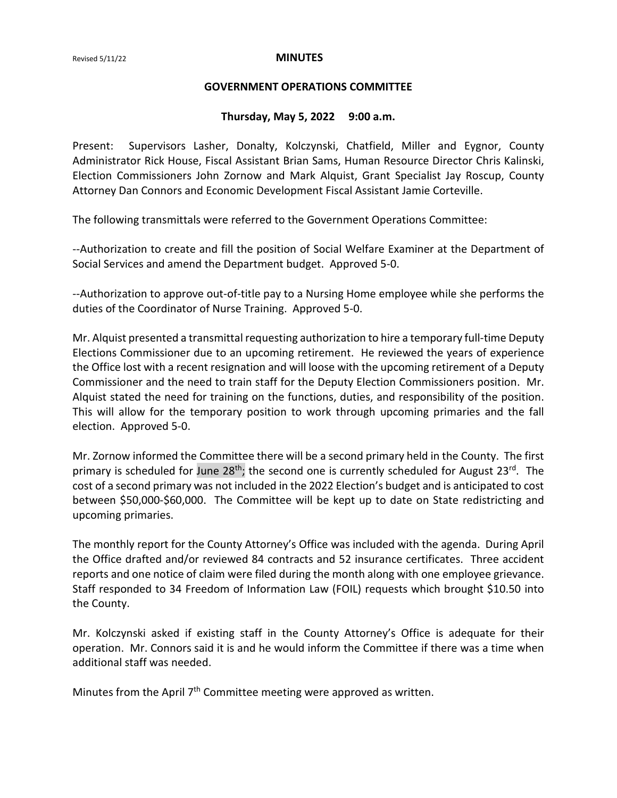#### **GOVERNMENT OPERATIONS COMMITTEE**

### **Thursday, May 5, 2022 9:00 a.m.**

Present: Supervisors Lasher, Donalty, Kolczynski, Chatfield, Miller and Eygnor, County Administrator Rick House, Fiscal Assistant Brian Sams, Human Resource Director Chris Kalinski, Election Commissioners John Zornow and Mark Alquist, Grant Specialist Jay Roscup, County Attorney Dan Connors and Economic Development Fiscal Assistant Jamie Corteville.

The following transmittals were referred to the Government Operations Committee:

--Authorization to create and fill the position of Social Welfare Examiner at the Department of Social Services and amend the Department budget. Approved 5-0.

--Authorization to approve out-of-title pay to a Nursing Home employee while she performs the duties of the Coordinator of Nurse Training. Approved 5-0.

Mr. Alquist presented a transmittal requesting authorization to hire a temporary full-time Deputy Elections Commissioner due to an upcoming retirement. He reviewed the years of experience the Office lost with a recent resignation and will loose with the upcoming retirement of a Deputy Commissioner and the need to train staff for the Deputy Election Commissioners position. Mr. Alquist stated the need for training on the functions, duties, and responsibility of the position. This will allow for the temporary position to work through upcoming primaries and the fall election. Approved 5-0.

Mr. Zornow informed the Committee there will be a second primary held in the County. The first primary is scheduled for June 28<sup>th</sup>; the second one is currently scheduled for August 23<sup>rd</sup>. The cost of a second primary was not included in the 2022 Election's budget and is anticipated to cost between \$50,000-\$60,000. The Committee will be kept up to date on State redistricting and upcoming primaries.

The monthly report for the County Attorney's Office was included with the agenda. During April the Office drafted and/or reviewed 84 contracts and 52 insurance certificates. Three accident reports and one notice of claim were filed during the month along with one employee grievance. Staff responded to 34 Freedom of Information Law (FOIL) requests which brought \$10.50 into the County.

Mr. Kolczynski asked if existing staff in the County Attorney's Office is adequate for their operation. Mr. Connors said it is and he would inform the Committee if there was a time when additional staff was needed.

Minutes from the April  $7<sup>th</sup>$  Committee meeting were approved as written.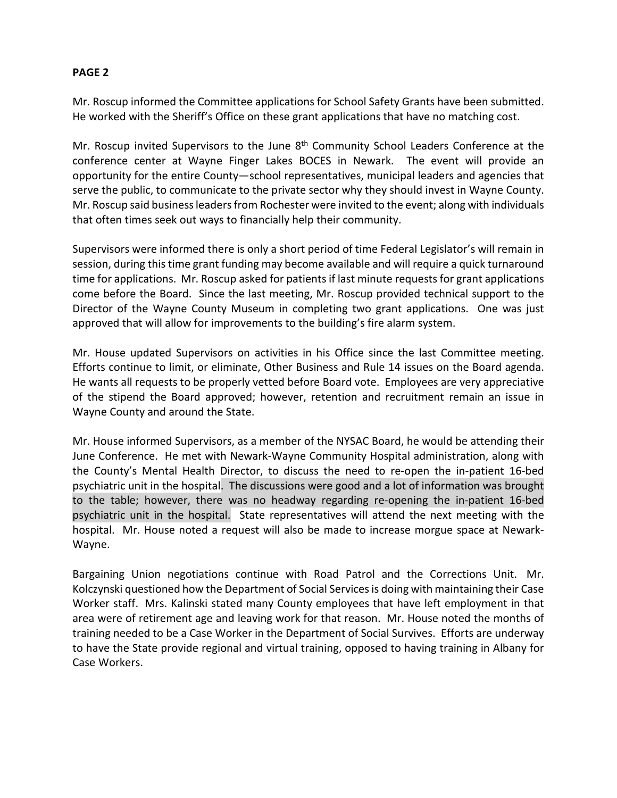# **PAGE 2**

Mr. Roscup informed the Committee applications for School Safety Grants have been submitted. He worked with the Sheriff's Office on these grant applications that have no matching cost.

Mr. Roscup invited Supervisors to the June 8<sup>th</sup> Community School Leaders Conference at the conference center at Wayne Finger Lakes BOCES in Newark. The event will provide an opportunity for the entire County—school representatives, municipal leaders and agencies that serve the public, to communicate to the private sector why they should invest in Wayne County. Mr. Roscup said business leaders from Rochester were invited to the event; along with individuals that often times seek out ways to financially help their community.

Supervisors were informed there is only a short period of time Federal Legislator's will remain in session, during this time grant funding may become available and will require a quick turnaround time for applications. Mr. Roscup asked for patients if last minute requestsfor grant applications come before the Board. Since the last meeting, Mr. Roscup provided technical support to the Director of the Wayne County Museum in completing two grant applications. One was just approved that will allow for improvements to the building's fire alarm system.

Mr. House updated Supervisors on activities in his Office since the last Committee meeting. Efforts continue to limit, or eliminate, Other Business and Rule 14 issues on the Board agenda. He wants all requests to be properly vetted before Board vote. Employees are very appreciative of the stipend the Board approved; however, retention and recruitment remain an issue in Wayne County and around the State.

Mr. House informed Supervisors, as a member of the NYSAC Board, he would be attending their June Conference. He met with Newark-Wayne Community Hospital administration, along with the County's Mental Health Director, to discuss the need to re-open the in-patient 16-bed psychiatric unit in the hospital. The discussions were good and a lot of information was brought to the table; however, there was no headway regarding re-opening the in-patient 16-bed psychiatric unit in the hospital. State representatives will attend the next meeting with the hospital. Mr. House noted a request will also be made to increase morgue space at Newark-Wayne.

Bargaining Union negotiations continue with Road Patrol and the Corrections Unit. Mr. Kolczynski questioned how the Department of Social Services is doing with maintaining their Case Worker staff. Mrs. Kalinski stated many County employees that have left employment in that area were of retirement age and leaving work for that reason. Mr. House noted the months of training needed to be a Case Worker in the Department of Social Survives. Efforts are underway to have the State provide regional and virtual training, opposed to having training in Albany for Case Workers.